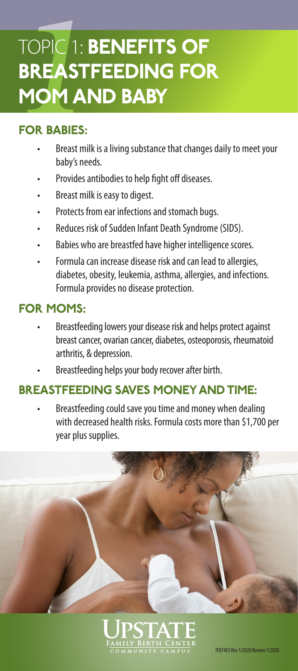# **11**<br> **BREAST<br>
MOM AI<br>
FOR BABIES:**<br>
FOR BABIES:<br>
BREAST MIN TOPIC 1: BENEFITS OF BREASTFEEDING FOR MOM AND BABY

# FOR BABIES:

- Breast milk is a living substance that changes daily to meet your baby's needs.
- Provides antibodies to help fight off diseases.
- Breast milk is easy to digest.
- Protects from ear infections and stomach bugs.
- Reduces risk of Sudden Infant Death Syndrome (SIDS).
- Babies who are breastfed have higher intelligence scores.
- Formula can increase disease risk and can lead to allergies, diabetes, obesity, leukemia, asthma, allergies, and infections. Formula provides no disease protection.

# FOR MOMS:

- Breastfeeding lowers your disease risk and helps protect against breast cancer, ovarian cancer, diabetes, osteoporosis, rheumatoid arthritis, & depression.
- Breastfeeding helps your body recover after birth.

# BREASTFEEDING SAVES MONEY AND TIME:

• Breastfeeding could save you time and money when dealing with decreased health risks. Formula costs more than \$1,700 per year plus supplies.